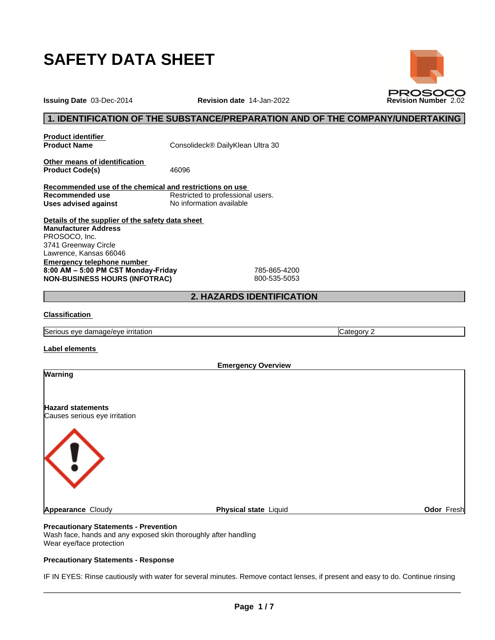

**Issuing Date** 03-Dec-2014 **Revision date** 14-Jan-2022 **Revision Number** 2.02

## **1. IDENTIFICATION OF THE SUBSTANCE/PREPARATION AND OF THE COMPANY/UNDERTAKING**

**Product identifier**

**Product Name** Consolideck® DailyKlean Ultra 30

**Other means of identification** Product Code(s) 46096

**Recommended use of the chemical and restrictions on use Restricted to professional users. Uses advised against** No information available

**Details of the supplier of the safety data sheet Emergency telephone number 8:00AM–5:00PMCSTMonday-Friday** 785-865-4200 **NON-BUSINESS HOURS (INFOTRAC)** 800-535-5053 **Manufacturer Address** PROSOCO, Inc. 3741 Greenway Circle Lawrence, Kansas 66046

## **2. HAZARDS IDENTIFICATION**

## **Classification**

Serious eye damage/eye irritation Category 2 and Category 2

**Label elements**

|                                                           | <b>Emergency Overview</b> |            |
|-----------------------------------------------------------|---------------------------|------------|
| <b>Warning</b>                                            |                           |            |
| <b>Hazard statements</b><br>Causes serious eye irritation |                           |            |
| $\mathbf{U}$                                              |                           |            |
| <b>Appearance Cloudy</b>                                  | Physical state Liquid     | Odor Fresh |
|                                                           |                           |            |

## **Precautionary Statements - Prevention**

Wash face, hands and any exposed skin thoroughly after handling Wear eye/face protection

### **Precautionary Statements - Response**

IF IN EYES: Rinse cautiously with water for several minutes. Remove contact lenses, if present and easy to do. Continue rinsing

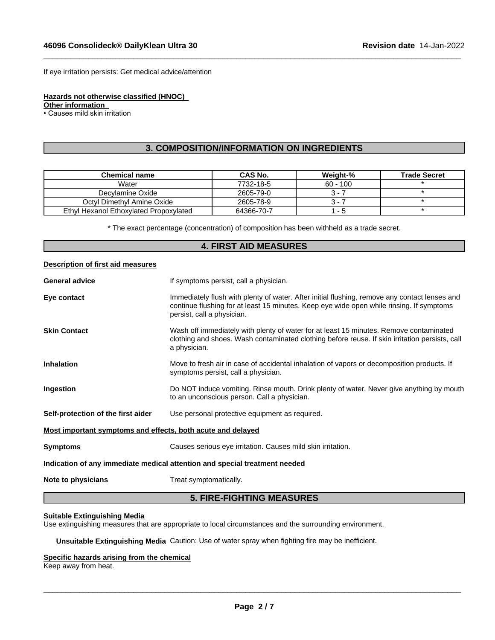If eye irritation persists: Get medical advice/attention

**Hazards not otherwise classified (HNOC)**

**Other information**

• Causes mild skin irritation

## **3. COMPOSITION/INFORMATION ON INGREDIENTS**

 $\_$  ,  $\_$  ,  $\_$  ,  $\_$  ,  $\_$  ,  $\_$  ,  $\_$  ,  $\_$  ,  $\_$  ,  $\_$  ,  $\_$  ,  $\_$  ,  $\_$  ,  $\_$  ,  $\_$  ,  $\_$  ,  $\_$  ,  $\_$  ,  $\_$  ,  $\_$  ,  $\_$  ,  $\_$  ,  $\_$  ,  $\_$  ,  $\_$  ,  $\_$  ,  $\_$  ,  $\_$  ,  $\_$  ,  $\_$  ,  $\_$  ,  $\_$  ,  $\_$  ,  $\_$  ,  $\_$  ,  $\_$  ,  $\_$  ,

| <b>Chemical name</b>                   | CAS No.    | Weight-%   | <b>Trade Secret</b> |
|----------------------------------------|------------|------------|---------------------|
| Water                                  | 7732-18-5  | $60 - 100$ |                     |
| Decylamine Oxide                       | 2605-79-0  | 3 - 1      |                     |
| Octyl Dimethyl Amine Oxide             | 2605-78-9  | 3 - 1      |                     |
| Ethyl Hexanol Ethoxylated Propoxylated | 64366-70-7 | - 5        |                     |

\* The exact percentage (concentration) ofcomposition has been withheld as a trade secret.

## **4. FIRST AID MEASURES**

|  |  | Description of first aid measures |  |
|--|--|-----------------------------------|--|
|--|--|-----------------------------------|--|

| <b>General advice</b>                                       | If symptoms persist, call a physician.                                                                                                                                                                                  |
|-------------------------------------------------------------|-------------------------------------------------------------------------------------------------------------------------------------------------------------------------------------------------------------------------|
| Eye contact                                                 | Immediately flush with plenty of water. After initial flushing, remove any contact lenses and<br>continue flushing for at least 15 minutes. Keep eye wide open while rinsing. If symptoms<br>persist, call a physician. |
| <b>Skin Contact</b>                                         | Wash off immediately with plenty of water for at least 15 minutes. Remove contaminated<br>clothing and shoes. Wash contaminated clothing before reuse. If skin irritation persists, call<br>a physician.                |
| <b>Inhalation</b>                                           | Move to fresh air in case of accidental inhalation of vapors or decomposition products. If<br>symptoms persist, call a physician.                                                                                       |
| Ingestion                                                   | Do NOT induce vomiting. Rinse mouth. Drink plenty of water. Never give anything by mouth<br>to an unconscious person. Call a physician.                                                                                 |
| Self-protection of the first aider                          | Use personal protective equipment as required.                                                                                                                                                                          |
| Most important symptoms and effects, both acute and delayed |                                                                                                                                                                                                                         |
| <b>Symptoms</b>                                             | Causes serious eye irritation. Causes mild skin irritation.                                                                                                                                                             |
|                                                             | Indication of any immediate medical attention and special treatment needed                                                                                                                                              |
| Note to physicians                                          | Treat symptomatically.                                                                                                                                                                                                  |

# **5. FIRE-FIGHTING MEASURES**

#### **Suitable Extinguishing Media**

Use extinguishing measures that are appropriate to local circumstances and the surrounding environment.

**Unsuitable Extinguishing Media** Caution: Use of water spray when fighting fire may be inefficient.

## **Specific hazards arising from the chemical**

Keep away from heat.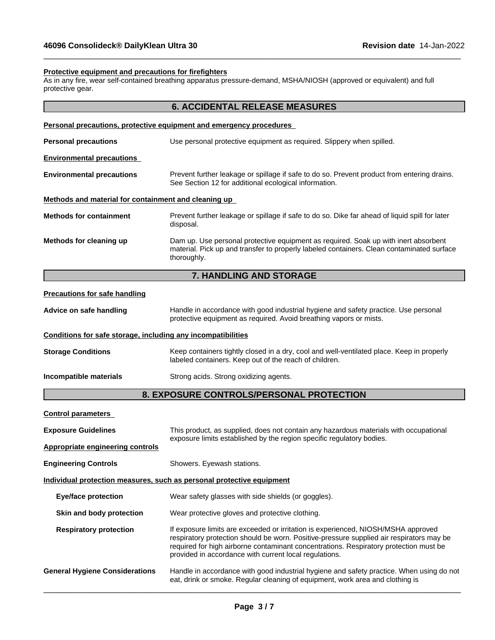#### **Protective equipment and precautions for firefighters**

As in any fire, wear self-contained breathing apparatus pressure-demand, MSHA/NIOSH (approved or equivalent) and full protective gear.

 $\_$  ,  $\_$  ,  $\_$  ,  $\_$  ,  $\_$  ,  $\_$  ,  $\_$  ,  $\_$  ,  $\_$  ,  $\_$  ,  $\_$  ,  $\_$  ,  $\_$  ,  $\_$  ,  $\_$  ,  $\_$  ,  $\_$  ,  $\_$  ,  $\_$  ,  $\_$  ,  $\_$  ,  $\_$  ,  $\_$  ,  $\_$  ,  $\_$  ,  $\_$  ,  $\_$  ,  $\_$  ,  $\_$  ,  $\_$  ,  $\_$  ,  $\_$  ,  $\_$  ,  $\_$  ,  $\_$  ,  $\_$  ,  $\_$  ,

|                                                              | <b>6. ACCIDENTAL RELEASE MEASURES</b>                                                                                                                                                                                                                                                                                            |  |
|--------------------------------------------------------------|----------------------------------------------------------------------------------------------------------------------------------------------------------------------------------------------------------------------------------------------------------------------------------------------------------------------------------|--|
|                                                              | Personal precautions, protective equipment and emergency procedures                                                                                                                                                                                                                                                              |  |
| <b>Personal precautions</b>                                  | Use personal protective equipment as required. Slippery when spilled.                                                                                                                                                                                                                                                            |  |
| <b>Environmental precautions</b>                             |                                                                                                                                                                                                                                                                                                                                  |  |
| <b>Environmental precautions</b>                             | Prevent further leakage or spillage if safe to do so. Prevent product from entering drains.<br>See Section 12 for additional ecological information.                                                                                                                                                                             |  |
| Methods and material for containment and cleaning up         |                                                                                                                                                                                                                                                                                                                                  |  |
| <b>Methods for containment</b>                               | Prevent further leakage or spillage if safe to do so. Dike far ahead of liquid spill for later<br>disposal.                                                                                                                                                                                                                      |  |
| Methods for cleaning up                                      | Dam up. Use personal protective equipment as required. Soak up with inert absorbent<br>material. Pick up and transfer to properly labeled containers. Clean contaminated surface<br>thoroughly.                                                                                                                                  |  |
|                                                              | 7. HANDLING AND STORAGE                                                                                                                                                                                                                                                                                                          |  |
| <b>Precautions for safe handling</b>                         |                                                                                                                                                                                                                                                                                                                                  |  |
| Advice on safe handling                                      | Handle in accordance with good industrial hygiene and safety practice. Use personal<br>protective equipment as required. Avoid breathing vapors or mists.                                                                                                                                                                        |  |
| Conditions for safe storage, including any incompatibilities |                                                                                                                                                                                                                                                                                                                                  |  |
| <b>Storage Conditions</b>                                    | Keep containers tightly closed in a dry, cool and well-ventilated place. Keep in properly<br>labeled containers. Keep out of the reach of children.                                                                                                                                                                              |  |
| Incompatible materials                                       | Strong acids. Strong oxidizing agents.                                                                                                                                                                                                                                                                                           |  |
|                                                              | 8. EXPOSURE CONTROLS/PERSONAL PROTECTION                                                                                                                                                                                                                                                                                         |  |
| <b>Control parameters</b>                                    |                                                                                                                                                                                                                                                                                                                                  |  |
| <b>Exposure Guidelines</b>                                   | This product, as supplied, does not contain any hazardous materials with occupational                                                                                                                                                                                                                                            |  |
| <b>Appropriate engineering controls</b>                      | exposure limits established by the region specific regulatory bodies.                                                                                                                                                                                                                                                            |  |
| <b>Engineering Controls</b>                                  | Showers. Eyewash stations.                                                                                                                                                                                                                                                                                                       |  |
|                                                              | Individual protection measures, such as personal protective equipment                                                                                                                                                                                                                                                            |  |
| <b>Eye/face protection</b>                                   | Wear safety glasses with side shields (or goggles).                                                                                                                                                                                                                                                                              |  |
| Skin and body protection                                     | Wear protective gloves and protective clothing.                                                                                                                                                                                                                                                                                  |  |
| <b>Respiratory protection</b>                                | If exposure limits are exceeded or irritation is experienced, NIOSH/MSHA approved<br>respiratory protection should be worn. Positive-pressure supplied air respirators may be<br>required for high airborne contaminant concentrations. Respiratory protection must be<br>provided in accordance with current local regulations. |  |
| <b>General Hygiene Considerations</b>                        | Handle in accordance with good industrial hygiene and safety practice. When using do not<br>eat, drink or smoke. Regular cleaning of equipment, work area and clothing is                                                                                                                                                        |  |
|                                                              |                                                                                                                                                                                                                                                                                                                                  |  |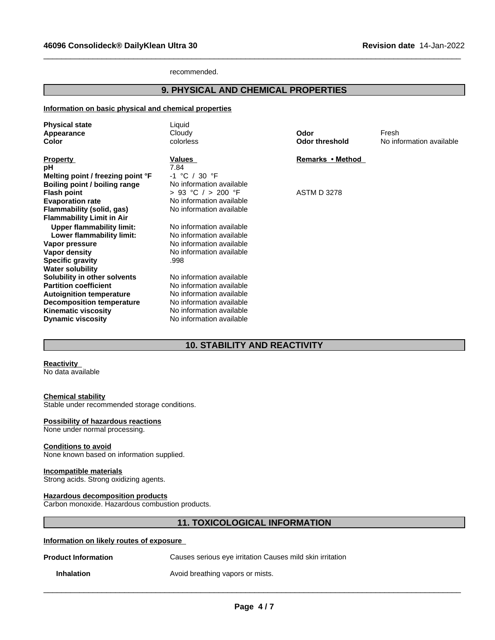recommended.

# **9. PHYSICAL AND CHEMICAL PROPERTIES**

 $\_$  ,  $\_$  ,  $\_$  ,  $\_$  ,  $\_$  ,  $\_$  ,  $\_$  ,  $\_$  ,  $\_$  ,  $\_$  ,  $\_$  ,  $\_$  ,  $\_$  ,  $\_$  ,  $\_$  ,  $\_$  ,  $\_$  ,  $\_$  ,  $\_$  ,  $\_$  ,  $\_$  ,  $\_$  ,  $\_$  ,  $\_$  ,  $\_$  ,  $\_$  ,  $\_$  ,  $\_$  ,  $\_$  ,  $\_$  ,  $\_$  ,  $\_$  ,  $\_$  ,  $\_$  ,  $\_$  ,  $\_$  ,  $\_$  ,

#### **Information on basic physical and chemical properties**

| <b>Physical state</b><br>Appearance<br>Color                                                                                                                                                                             | Liquid<br>Cloudy<br>colorless                                                                                                                                        | Odor<br>Odor threshold | Fresh<br>No information available |
|--------------------------------------------------------------------------------------------------------------------------------------------------------------------------------------------------------------------------|----------------------------------------------------------------------------------------------------------------------------------------------------------------------|------------------------|-----------------------------------|
| <b>Property</b><br>рH<br>Melting point / freezing point °F<br>Boiling point / boiling range                                                                                                                              | Values<br>7.84<br>$-1$ °C / 30 °F<br>No information available                                                                                                        | Remarks • Method       |                                   |
| <b>Flash point</b><br><b>Evaporation rate</b><br>Flammability (solid, gas)<br><b>Flammability Limit in Air</b>                                                                                                           | $> 93$ °C $/ > 200$ °F<br>No information available<br>No information available                                                                                       | <b>ASTM D 3278</b>     |                                   |
| <b>Upper flammability limit:</b><br>Lower flammability limit:<br>Vapor pressure<br>Vapor density<br><b>Specific gravity</b>                                                                                              | No information available<br>No information available<br>No information available<br>No information available<br>.998                                                 |                        |                                   |
| <b>Water solubility</b><br>Solubility in other solvents<br><b>Partition coefficient</b><br><b>Autoignition temperature</b><br><b>Decomposition temperature</b><br><b>Kinematic viscosity</b><br><b>Dynamic viscosity</b> | No information available<br>No information available<br>No information available<br>No information available<br>No information available<br>No information available |                        |                                   |

# **10. STABILITY AND REACTIVITY**

#### **Reactivity**

No data available

## **Chemical stability**

Stable under recommended storage conditions.

#### **Possibility of hazardous reactions**

None under normal processing.

#### **Conditions to avoid**

None known based on information supplied.

## **Incompatible materials**

Strong acids. Strong oxidizing agents.

#### **Hazardous decomposition products**

Carbon monoxide. Hazardous combustion products.

# **11. TOXICOLOGICAL INFORMATION**

#### **Information on likely routes of exposure**

| <b>Product Information</b> | Causes serious eye irritation Causes mild skin irritation |
|----------------------------|-----------------------------------------------------------|
| <b>Inhalation</b>          | Avoid breathing vapors or mists.                          |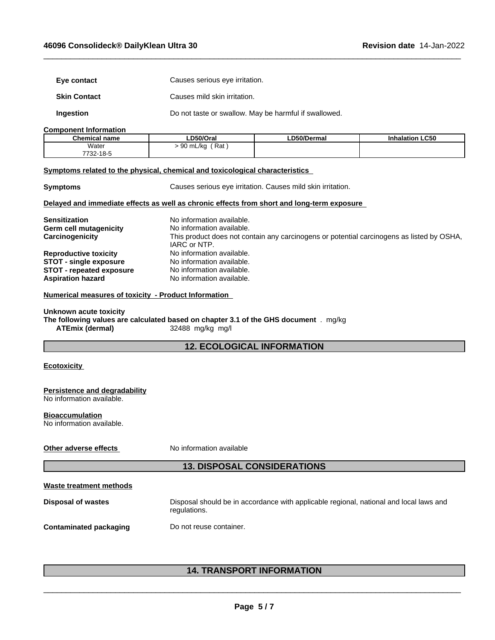| Eye contact                                                                                                                              | Causes serious eye irritation.                                                                         |             |                                                                                           |  |
|------------------------------------------------------------------------------------------------------------------------------------------|--------------------------------------------------------------------------------------------------------|-------------|-------------------------------------------------------------------------------------------|--|
| <b>Skin Contact</b>                                                                                                                      | Causes mild skin irritation.                                                                           |             |                                                                                           |  |
| Ingestion                                                                                                                                | Do not taste or swallow. May be harmful if swallowed.                                                  |             |                                                                                           |  |
| <b>Component Information</b>                                                                                                             |                                                                                                        |             |                                                                                           |  |
| <b>Chemical name</b>                                                                                                                     | LD50/Oral                                                                                              | LD50/Dermal | <b>Inhalation LC50</b>                                                                    |  |
| Water                                                                                                                                    | $> 90$ mL/kg (Rat)                                                                                     |             |                                                                                           |  |
| 7732-18-5                                                                                                                                |                                                                                                        |             |                                                                                           |  |
| Symptoms related to the physical, chemical and toxicological characteristics                                                             |                                                                                                        |             |                                                                                           |  |
| <b>Symptoms</b>                                                                                                                          | Causes serious eye irritation. Causes mild skin irritation.                                            |             |                                                                                           |  |
| Delayed and immediate effects as well as chronic effects from short and long-term exposure                                               |                                                                                                        |             |                                                                                           |  |
| <b>Sensitization</b>                                                                                                                     | No information available.                                                                              |             |                                                                                           |  |
|                                                                                                                                          |                                                                                                        |             |                                                                                           |  |
| Germ cell mutagenicity                                                                                                                   | No information available.                                                                              |             |                                                                                           |  |
| Carcinogenicity                                                                                                                          |                                                                                                        |             | This product does not contain any carcinogens or potential carcinogens as listed by OSHA, |  |
|                                                                                                                                          | IARC or NTP.                                                                                           |             |                                                                                           |  |
| <b>Reproductive toxicity</b>                                                                                                             | No information available.                                                                              |             |                                                                                           |  |
| <b>STOT - single exposure</b>                                                                                                            | No information available.                                                                              |             |                                                                                           |  |
| <b>STOT - repeated exposure</b>                                                                                                          | No information available.                                                                              |             |                                                                                           |  |
| <b>Aspiration hazard</b>                                                                                                                 | No information available.                                                                              |             |                                                                                           |  |
| Numerical measures of toxicity - Product Information                                                                                     |                                                                                                        |             |                                                                                           |  |
|                                                                                                                                          |                                                                                                        |             |                                                                                           |  |
| Unknown acute toxicity<br>The following values are calculated based on chapter 3.1 of the GHS document . mg/kg<br><b>ATEmix (dermal)</b> | 32488 mg/kg mg/l                                                                                       |             |                                                                                           |  |
|                                                                                                                                          |                                                                                                        |             |                                                                                           |  |
|                                                                                                                                          | <b>12. ECOLOGICAL INFORMATION</b>                                                                      |             |                                                                                           |  |
| <b>Ecotoxicity</b>                                                                                                                       |                                                                                                        |             |                                                                                           |  |
| Persistence and degradability                                                                                                            |                                                                                                        |             |                                                                                           |  |
| No information available.                                                                                                                |                                                                                                        |             |                                                                                           |  |
| <b>Bioaccumulation</b><br>No information available.                                                                                      |                                                                                                        |             |                                                                                           |  |
|                                                                                                                                          |                                                                                                        |             |                                                                                           |  |
| Other adverse effects                                                                                                                    | No information available                                                                               |             |                                                                                           |  |
|                                                                                                                                          | <b>13. DISPOSAL CONSIDERATIONS</b>                                                                     |             |                                                                                           |  |
|                                                                                                                                          |                                                                                                        |             |                                                                                           |  |
| <b>Waste treatment methods</b>                                                                                                           |                                                                                                        |             |                                                                                           |  |
| <b>Disposal of wastes</b>                                                                                                                | Disposal should be in accordance with applicable regional, national and local laws and<br>regulations. |             |                                                                                           |  |
| <b>Contaminated packaging</b>                                                                                                            | Do not reuse container.                                                                                |             |                                                                                           |  |
|                                                                                                                                          |                                                                                                        |             |                                                                                           |  |
|                                                                                                                                          |                                                                                                        |             |                                                                                           |  |

 $\_$  ,  $\_$  ,  $\_$  ,  $\_$  ,  $\_$  ,  $\_$  ,  $\_$  ,  $\_$  ,  $\_$  ,  $\_$  ,  $\_$  ,  $\_$  ,  $\_$  ,  $\_$  ,  $\_$  ,  $\_$  ,  $\_$  ,  $\_$  ,  $\_$  ,  $\_$  ,  $\_$  ,  $\_$  ,  $\_$  ,  $\_$  ,  $\_$  ,  $\_$  ,  $\_$  ,  $\_$  ,  $\_$  ,  $\_$  ,  $\_$  ,  $\_$  ,  $\_$  ,  $\_$  ,  $\_$  ,  $\_$  ,  $\_$  ,

# **14. TRANSPORT INFORMATION**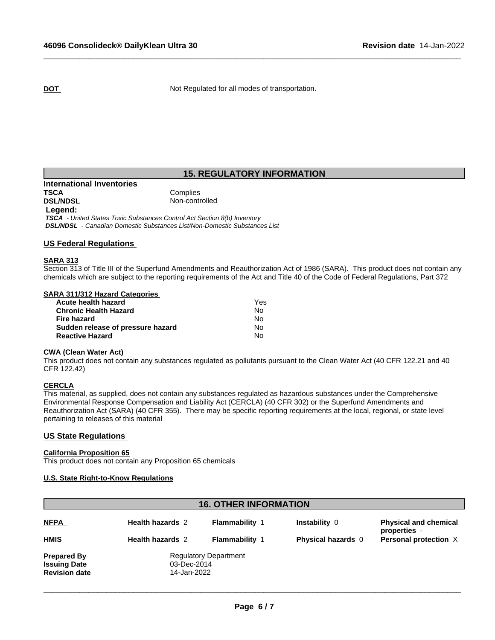**DOT** Not Regulated for all modes of transportation.

 $\_$  ,  $\_$  ,  $\_$  ,  $\_$  ,  $\_$  ,  $\_$  ,  $\_$  ,  $\_$  ,  $\_$  ,  $\_$  ,  $\_$  ,  $\_$  ,  $\_$  ,  $\_$  ,  $\_$  ,  $\_$  ,  $\_$  ,  $\_$  ,  $\_$  ,  $\_$  ,  $\_$  ,  $\_$  ,  $\_$  ,  $\_$  ,  $\_$  ,  $\_$  ,  $\_$  ,  $\_$  ,  $\_$  ,  $\_$  ,  $\_$  ,  $\_$  ,  $\_$  ,  $\_$  ,  $\_$  ,  $\_$  ,  $\_$  ,

# **15. REGULATORY INFORMATION**

# **International Inventories TSCA** Complies<br> **DSL/NDSL** Complies  **Legend:**

Non-controlled

 *TSCA - United States Toxic Substances Control Act Section 8(b) Inventory DSL/NDSL - Canadian Domestic Substances List/Non-Domestic Substances List*

## **US Federal Regulations**

#### **SARA 313**

Section 313 of Title III of the Superfund Amendments and Reauthorization Act of 1986 (SARA). This product does not contain any chemicals which are subject to the reporting requirements of the Act and Title 40 of the Code of Federal Regulations, Part 372

#### **SARA 311/312 Hazard Categories**

| Acute health hazard               | Yes |  |
|-----------------------------------|-----|--|
| <b>Chronic Health Hazard</b>      | No. |  |
| Fire hazard                       | N٥  |  |
| Sudden release of pressure hazard | N٥  |  |
| <b>Reactive Hazard</b>            | N٥  |  |

### **CWA** (Clean Water Act)

This product does not contain any substances regulated as pollutants pursuant to the Clean Water Act (40 CFR 122.21 and 40 CFR 122.42)

#### **CERCLA**

This material, as supplied, does not contain any substances regulated as hazardous substances under the Comprehensive Environmental Response Compensation and Liability Act (CERCLA) (40 CFR 302) or the Superfund Amendments and Reauthorization Act (SARA) (40 CFR 355). There may be specific reporting requirements at the local, regional, or state level pertaining to releases of this material

## **US State Regulations**

#### **California Proposition 65**

This product does not contain any Proposition 65 chemicals

## **U.S. State Right-to-Know Regulations**

| <b>16. OTHER INFORMATION</b>                                      |                                                            |                       |                           |                                              |
|-------------------------------------------------------------------|------------------------------------------------------------|-----------------------|---------------------------|----------------------------------------------|
| <b>NFPA</b>                                                       | <b>Health hazards 2</b>                                    | <b>Flammability 1</b> | Instability 0             | <b>Physical and chemical</b><br>properties - |
| <b>HMIS</b>                                                       | <b>Health hazards 2</b>                                    | <b>Flammability 1</b> | <b>Physical hazards</b> 0 | Personal protection X                        |
| <b>Prepared By</b><br><b>Issuing Date</b><br><b>Revision date</b> | <b>Regulatory Department</b><br>03-Dec-2014<br>14-Jan-2022 |                       |                           |                                              |